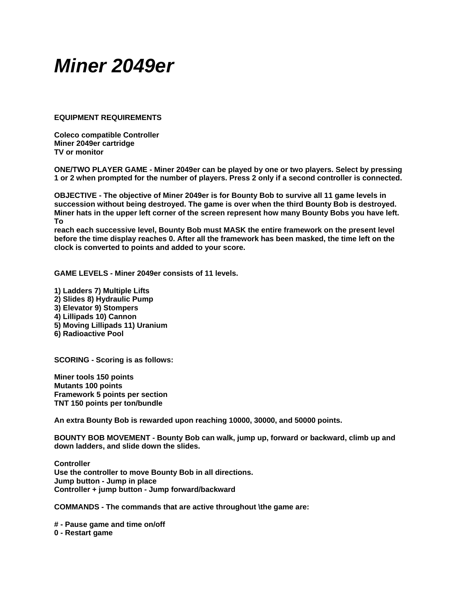## *Miner 2049er*

**EQUIPMENT REQUIREMENTS** 

**Coleco compatible Controller Miner 2049er cartridge TV or monitor** 

**ONE/TWO PLAYER GAME - Miner 2049er can be played by one or two players. Select by pressing 1 or 2 when prompted for the number of players. Press 2 only if a second controller is connected.** 

**OBJECTIVE - The objective of Miner 2049er is for Bounty Bob to survive all 11 game levels in succession without being destroyed. The game is over when the third Bounty Bob is destroyed. Miner hats in the upper left corner of the screen represent how many Bounty Bobs you have left. To** 

**reach each successive level, Bounty Bob must MASK the entire framework on the present level before the time display reaches 0. After all the framework has been masked, the time left on the clock is converted to points and added to your score.** 

**GAME LEVELS - Miner 2049er consists of 11 levels.** 

**1) Ladders 7) Multiple Lifts 2) Slides 8) Hydraulic Pump 3) Elevator 9) Stompers 4) Lillipads 10) Cannon 5) Moving Lillipads 11) Uranium 6) Radioactive Pool** 

**SCORING - Scoring is as follows:** 

**Miner tools 150 points Mutants 100 points Framework 5 points per section TNT 150 points per ton/bundle** 

**An extra Bounty Bob is rewarded upon reaching 10000, 30000, and 50000 points.** 

**BOUNTY BOB MOVEMENT - Bounty Bob can walk, jump up, forward or backward, climb up and down ladders, and slide down the slides.** 

**Controller Use the controller to move Bounty Bob in all directions. Jump button - Jump in place Controller + jump button - Jump forward/backward** 

**COMMANDS - The commands that are active throughout \the game are:** 

**# - Pause game and time on/off 0 - Restart game**